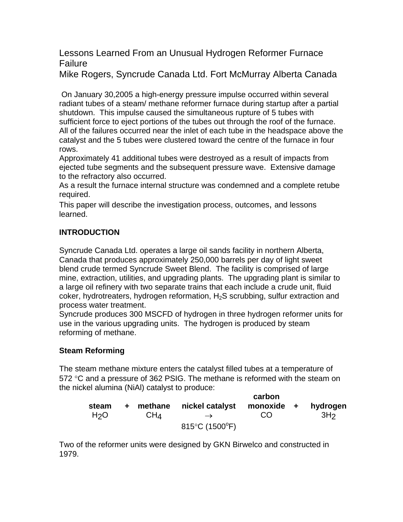# Lessons Learned From an Unusual Hydrogen Reformer Furnace Failure

Mike Rogers, Syncrude Canada Ltd. Fort McMurray Alberta Canada

 On January 30,2005 a high-energy pressure impulse occurred within several radiant tubes of a steam/ methane reformer furnace during startup after a partial shutdown. This impulse caused the simultaneous rupture of 5 tubes with sufficient force to eject portions of the tubes out through the roof of the furnace. All of the failures occurred near the inlet of each tube in the headspace above the catalyst and the 5 tubes were clustered toward the centre of the furnace in four rows.

Approximately 41 additional tubes were destroyed as a result of impacts from ejected tube segments and the subsequent pressure wave. Extensive damage to the refractory also occurred.

As a result the furnace internal structure was condemned and a complete retube required.

This paper will describe the investigation process, outcomes, and lessons learned.

# **INTRODUCTION**

Syncrude Canada Ltd. operates a large oil sands facility in northern Alberta, Canada that produces approximately 250,000 barrels per day of light sweet blend crude termed Syncrude Sweet Blend. The facility is comprised of large mine, extraction, utilities, and upgrading plants. The upgrading plant is similar to a large oil refinery with two separate trains that each include a crude unit, fluid coker, hydrotreaters, hydrogen reformation,  $H_2S$  scrubbing, sulfur extraction and process water treatment.

Syncrude produces 300 MSCFD of hydrogen in three hydrogen reformer units for use in the various upgrading units. The hydrogen is produced by steam reforming of methane.

# **Steam Reforming**

The steam methane mixture enters the catalyst filled tubes at a temperature of 572 °C and a pressure of 362 PSIG. The methane is reformed with the steam on the nickel alumina (NiAl) catalyst to produce:

|                  |     |                 |                                              | carbon     |                 |
|------------------|-----|-----------------|----------------------------------------------|------------|-----------------|
| steam            | $+$ |                 | methane nickel catalyst                      | monoxide + | hydrogen        |
| H <sub>2</sub> O |     | CH <sub>4</sub> | $\rightarrow$                                | CO.        | 3H <sub>2</sub> |
|                  |     |                 | 815 $\rm ^{\circ}C$ (1500 $\rm ^{\circ}F)$ ) |            |                 |

Two of the reformer units were designed by GKN Birwelco and constructed in 1979.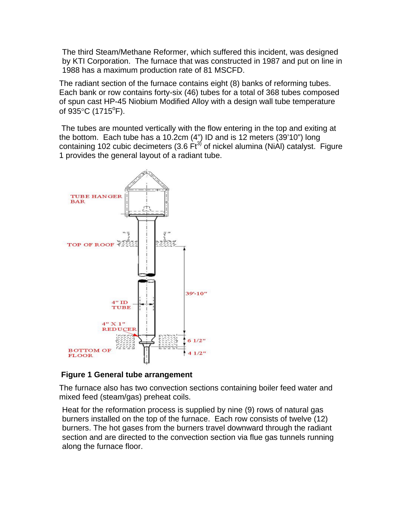The third Steam/Methane Reformer, which suffered this incident, was designed by KTI Corporation. The furnace that was constructed in 1987 and put on line in 1988 has a maximum production rate of 81 MSCFD.

The radiant section of the furnace contains eight (8) banks of reforming tubes. Each bank or row contains forty-six (46) tubes for a total of 368 tubes composed of spun cast HP-45 Niobium Modified Alloy with a design wall tube temperature of  $935^{\circ}$ C (1715 $^{\circ}$ F).

 The tubes are mounted vertically with the flow entering in the top and exiting at the bottom. Each tube has a 10.2cm (4") ID and is 12 meters (39'10") long containing 102 cubic decimeters (3.6  $\text{Ft}^{3}$ ) of nickel alumina (NiAl) catalyst. Figure 1 provides the general layout of a radiant tube.



**Figure 1 General tube arrangement** 

The furnace also has two convection sections containing boiler feed water and mixed feed (steam/gas) preheat coils.

Heat for the reformation process is supplied by nine (9) rows of natural gas burners installed on the top of the furnace. Each row consists of twelve (12) burners. The hot gases from the burners travel downward through the radiant section and are directed to the convection section via flue gas tunnels running along the furnace floor.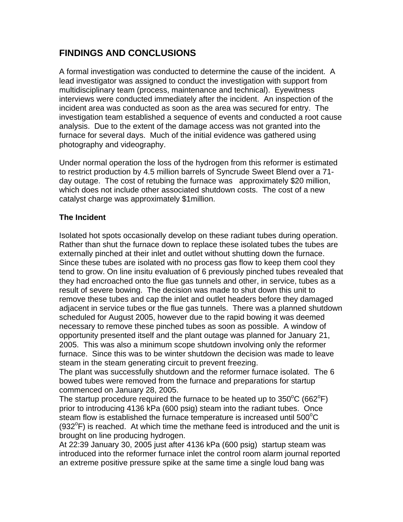# **FINDINGS AND CONCLUSIONS**

A formal investigation was conducted to determine the cause of the incident. A lead investigator was assigned to conduct the investigation with support from multidisciplinary team (process, maintenance and technical). Eyewitness interviews were conducted immediately after the incident. An inspection of the incident area was conducted as soon as the area was secured for entry. The investigation team established a sequence of events and conducted a root cause analysis. Due to the extent of the damage access was not granted into the furnace for several days. Much of the initial evidence was gathered using photography and videography.

Under normal operation the loss of the hydrogen from this reformer is estimated to restrict production by 4.5 million barrels of Syncrude Sweet Blend over a 71 day outage. The cost of retubing the furnace was approximately \$20 million, which does not include other associated shutdown costs. The cost of a new catalyst charge was approximately \$1million.

### **The Incident**

Isolated hot spots occasionally develop on these radiant tubes during operation. Rather than shut the furnace down to replace these isolated tubes the tubes are externally pinched at their inlet and outlet without shutting down the furnace. Since these tubes are isolated with no process gas flow to keep them cool they tend to grow. On line insitu evaluation of 6 previously pinched tubes revealed that they had encroached onto the flue gas tunnels and other, in service, tubes as a result of severe bowing. The decision was made to shut down this unit to remove these tubes and cap the inlet and outlet headers before they damaged adjacent in service tubes or the flue gas tunnels. There was a planned shutdown scheduled for August 2005, however due to the rapid bowing it was deemed necessary to remove these pinched tubes as soon as possible. A window of opportunity presented itself and the plant outage was planned for January 21, 2005. This was also a minimum scope shutdown involving only the reformer furnace. Since this was to be winter shutdown the decision was made to leave steam in the steam generating circuit to prevent freezing.

The plant was successfully shutdown and the reformer furnace isolated. The 6 bowed tubes were removed from the furnace and preparations for startup commenced on January 28, 2005.

The startup procedure required the furnace to be heated up to  $350^{\circ}$ C (662 $^{\circ}$ F) prior to introducing 4136 kPa (600 psig) steam into the radiant tubes. Once steam flow is established the furnace temperature is increased until 500 $\mathrm{^{\circ}C}$  $(932^{\circ}F)$  is reached. At which time the methane feed is introduced and the unit is brought on line producing hydrogen.

At 22:39 January 30, 2005 just after 4136 kPa (600 psig) startup steam was introduced into the reformer furnace inlet the control room alarm journal reported an extreme positive pressure spike at the same time a single loud bang was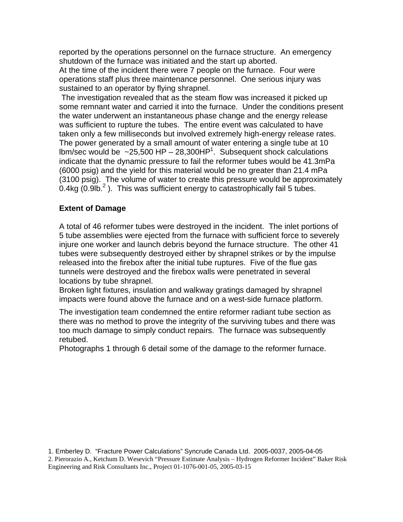reported by the operations personnel on the furnace structure. An emergency shutdown of the furnace was initiated and the start up aborted.

At the time of the incident there were 7 people on the furnace. Four were operations staff plus three maintenance personnel. One serious injury was sustained to an operator by flying shrapnel.

 The investigation revealed that as the steam flow was increased it picked up some remnant water and carried it into the furnace. Under the conditions present the water underwent an instantaneous phase change and the energy release was sufficient to rupture the tubes. The entire event was calculated to have taken only a few milliseconds but involved extremely high-energy release rates. The power generated by a small amount of water entering a single tube at 10 lbm/sec would be  $\sim$ 25,500 HP – 28,300HP<sup>1</sup>. Subsequent shock calculations indicate that the dynamic pressure to fail the reformer tubes would be 41.3mPa (6000 psig) and the yield for this material would be no greater than 21.4 mPa (3100 psig). The volume of water to create this pressure would be approximately 0.4kg (0.9lb. $^2$ ). This was sufficient energy to catastrophically fail 5 tubes.

### **Extent of Damage**

A total of 46 reformer tubes were destroyed in the incident. The inlet portions of 5 tube assemblies were ejected from the furnace with sufficient force to severely injure one worker and launch debris beyond the furnace structure. The other 41 tubes were subsequently destroyed either by shrapnel strikes or by the impulse released into the firebox after the initial tube ruptures. Five of the flue gas tunnels were destroyed and the firebox walls were penetrated in several locations by tube shrapnel.

Broken light fixtures, insulation and walkway gratings damaged by shrapnel impacts were found above the furnace and on a west-side furnace platform.

The investigation team condemned the entire reformer radiant tube section as there was no method to prove the integrity of the surviving tubes and there was too much damage to simply conduct repairs. The furnace was subsequently retubed.

Photographs 1 through 6 detail some of the damage to the reformer furnace.

2. Pierorazio A., Ketchum D. Wesevich "Pressure Estimate Analysis – Hydrogen Reformer Incident" Baker Risk Engineering and Risk Consultants Inc., Project 01-1076-001-05, 2005-03-15

<sup>1.</sup> Emberley D. "Fracture Power Calculations" Syncrude Canada Ltd. 2005-0037, 2005-04-05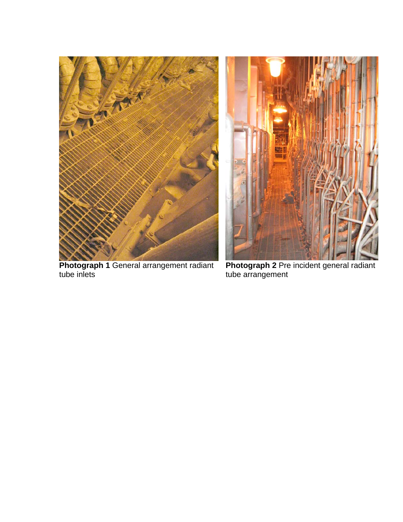



**Photograph 1** General arrangement radiant tube inlets

**Photograph 2** Pre incident general radiant tube arrangement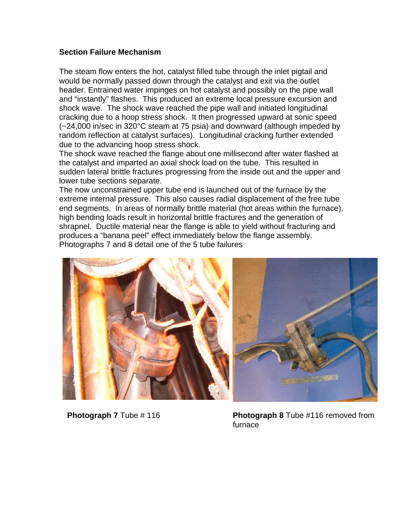#### **Section Failure Mechanism**

The steam flow enters the hot, catalyst filled tube through the inlet pigtail and would be normally passed down through the catalyst and exit via the outlet header. Entrained water impinges on hot catalyst and possibly on the pipe wall and "instantly" flashes. This produced an extreme local pressure excursion and shock wave. The shock wave reached the pipe wall and initiated longitudinal cracking due to a hoop stress shock. It then progressed upward at sonic speed (~24,000 in/sec in 320°C steam at 75 psia) and downward (although impeded by random reflection at catalyst surfaces). Longitudinal cracking further extended due to the advancing hoop stress shock.

The shock wave reached the flange about one millisecond after water flashed at the catalyst and imparted an axial shock load on the tube. This resulted in sudden lateral brittle fractures progressing from the inside out and the upper and lower tube sections separate.

The now unconstrained upper tube end is launched out of the furnace by the extreme internal pressure. This also causes radial displacement of the free tube end segments. In areas of normally brittle material (hot areas within the furnace), high bending loads result in horizontal brittle fractures and the generation of shrapnel. Ductile material near the flange is able to yield without fracturing and produces a "banana peel" effect immediately below the flange assembly. Photographs 7 and 8 detail one of the 5 tube failures



 **Photograph 7** Tube # 116 **Photograph 8** Tube #116 removed from furnace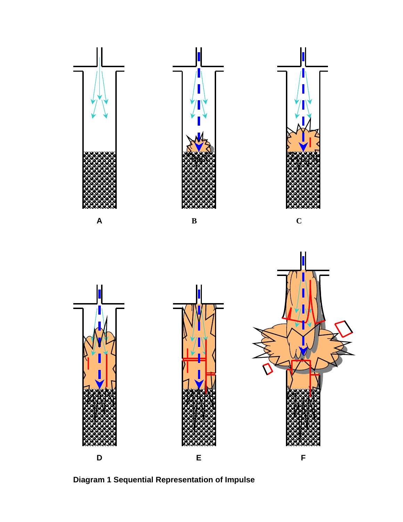

**Diagram 1 Sequential Representation of Impulse**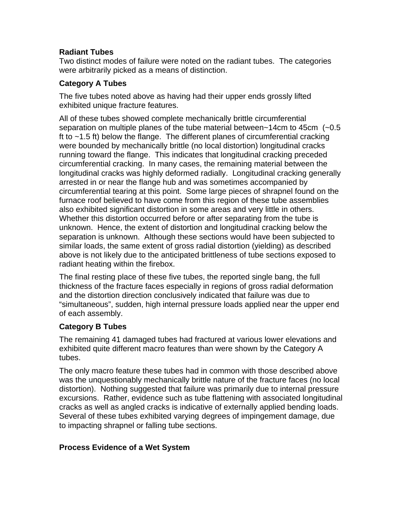### **Radiant Tubes**

Two distinct modes of failure were noted on the radiant tubes. The categories were arbitrarily picked as a means of distinction.

## **Category A Tubes**

The five tubes noted above as having had their upper ends grossly lifted exhibited unique fracture features.

All of these tubes showed complete mechanically brittle circumferential separation on multiple planes of the tube material between~14cm to 45cm (~0.5 ft to ~1.5 ft) below the flange. The different planes of circumferential cracking were bounded by mechanically brittle (no local distortion) longitudinal cracks running toward the flange. This indicates that longitudinal cracking preceded circumferential cracking. In many cases, the remaining material between the longitudinal cracks was highly deformed radially. Longitudinal cracking generally arrested in or near the flange hub and was sometimes accompanied by circumferential tearing at this point. Some large pieces of shrapnel found on the furnace roof believed to have come from this region of these tube assemblies also exhibited significant distortion in some areas and very little in others. Whether this distortion occurred before or after separating from the tube is unknown. Hence, the extent of distortion and longitudinal cracking below the separation is unknown. Although these sections would have been subjected to similar loads, the same extent of gross radial distortion (yielding) as described above is not likely due to the anticipated brittleness of tube sections exposed to radiant heating within the firebox.

The final resting place of these five tubes, the reported single bang, the full thickness of the fracture faces especially in regions of gross radial deformation and the distortion direction conclusively indicated that failure was due to "simultaneous", sudden, high internal pressure loads applied near the upper end of each assembly.

## **Category B Tubes**

The remaining 41 damaged tubes had fractured at various lower elevations and exhibited quite different macro features than were shown by the Category A tubes.

The only macro feature these tubes had in common with those described above was the unquestionably mechanically brittle nature of the fracture faces (no local distortion). Nothing suggested that failure was primarily due to internal pressure excursions. Rather, evidence such as tube flattening with associated longitudinal cracks as well as angled cracks is indicative of externally applied bending loads. Several of these tubes exhibited varying degrees of impingement damage, due to impacting shrapnel or falling tube sections.

## **Process Evidence of a Wet System**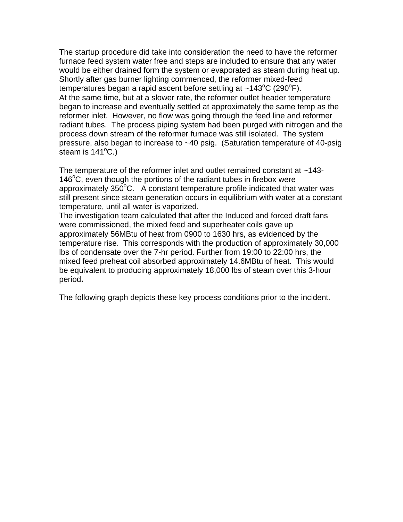The startup procedure did take into consideration the need to have the reformer furnace feed system water free and steps are included to ensure that any water would be either drained form the system or evaporated as steam during heat up. Shortly after gas burner lighting commenced, the reformer mixed-feed temperatures began a rapid ascent before settling at ~143 $^{\circ}$ C (290 $^{\circ}$ F). At the same time, but at a slower rate, the reformer outlet header temperature began to increase and eventually settled at approximately the same temp as the reformer inlet. However, no flow was going through the feed line and reformer radiant tubes. The process piping system had been purged with nitrogen and the process down stream of the reformer furnace was still isolated. The system pressure, also began to increase to ~40 psig. (Saturation temperature of 40-psig steam is  $141^{\circ}$ C.)

The temperature of the reformer inlet and outlet remained constant at ~143- 146°C, even though the portions of the radiant tubes in firebox were approximately  $350^{\circ}$ C. A constant temperature profile indicated that water was still present since steam generation occurs in equilibrium with water at a constant temperature, until all water is vaporized.

The investigation team calculated that after the Induced and forced draft fans were commissioned, the mixed feed and superheater coils gave up approximately 56MBtu of heat from 0900 to 1630 hrs, as evidenced by the temperature rise. This corresponds with the production of approximately 30,000 lbs of condensate over the 7-hr period. Further from 19:00 to 22:00 hrs, the mixed feed preheat coil absorbed approximately 14.6MBtu of heat. This would be equivalent to producing approximately 18,000 lbs of steam over this 3-hour period**.** 

The following graph depicts these key process conditions prior to the incident.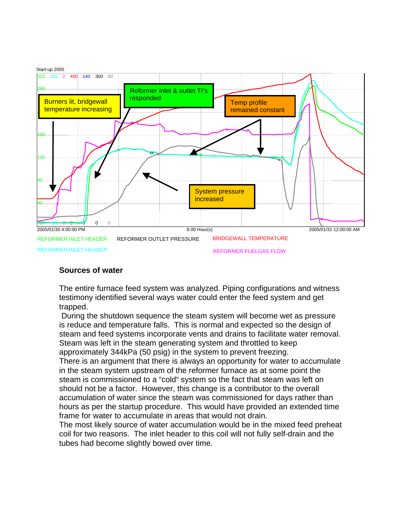

#### **Sources of water**

The entire furnace feed system was analyzed. Piping configurations and witness testimony identified several ways water could enter the feed system and get trapped.

 During the shutdown sequence the steam system will become wet as pressure is reduce and temperature falls. This is normal and expected so the design of steam and feed systems incorporate vents and drains to facilitate water removal. Steam was left in the steam generating system and throttled to keep approximately 344kPa (50 psig) in the system to prevent freezing.

There is an argument that there is always an opportunity for water to accumulate in the steam system upstream of the reformer furnace as at some point the steam is commissioned to a "cold" system so the fact that steam was left on should not be a factor. However, this change is a contributor to the overall accumulation of water since the steam was commissioned for days rather than hours as per the startup procedure. This would have provided an extended time frame for water to accumulate in areas that would not drain.

The most likely source of water accumulation would be in the mixed feed preheat coil for two reasons. The inlet header to this coil will not fully self-drain and the tubes had become slightly bowed over time.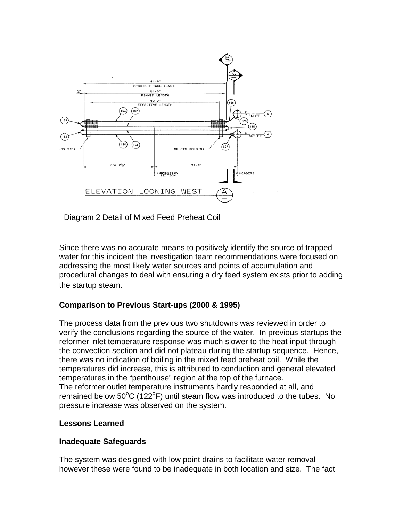

Diagram 2 Detail of Mixed Feed Preheat Coil

Since there was no accurate means to positively identify the source of trapped water for this incident the investigation team recommendations were focused on addressing the most likely water sources and points of accumulation and procedural changes to deal with ensuring a dry feed system exists prior to adding the startup steam.

## **Comparison to Previous Start-ups (2000 & 1995)**

The process data from the previous two shutdowns was reviewed in order to verify the conclusions regarding the source of the water. In previous startups the reformer inlet temperature response was much slower to the heat input through the convection section and did not plateau during the startup sequence. Hence, there was no indication of boiling in the mixed feed preheat coil. While the temperatures did increase, this is attributed to conduction and general elevated temperatures in the "penthouse" region at the top of the furnace. The reformer outlet temperature instruments hardly responded at all, and remained below  $50^{\circ}$ C (122 $^{\circ}$ F) until steam flow was introduced to the tubes. No pressure increase was observed on the system.

#### **Lessons Learned**

#### **Inadequate Safeguards**

The system was designed with low point drains to facilitate water removal however these were found to be inadequate in both location and size. The fact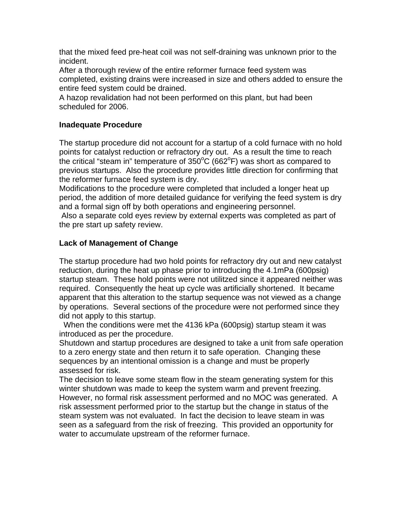that the mixed feed pre-heat coil was not self-draining was unknown prior to the incident.

After a thorough review of the entire reformer furnace feed system was completed, existing drains were increased in size and others added to ensure the entire feed system could be drained.

A hazop revalidation had not been performed on this plant, but had been scheduled for 2006.

### **Inadequate Procedure**

The startup procedure did not account for a startup of a cold furnace with no hold points for catalyst reduction or refractory dry out. As a result the time to reach the critical "steam in" temperature of 350°C (662°F) was short as compared to previous startups. Also the procedure provides little direction for confirming that the reformer furnace feed system is dry.

Modifications to the procedure were completed that included a longer heat up period, the addition of more detailed guidance for verifying the feed system is dry and a formal sign off by both operations and engineering personnel.

 Also a separate cold eyes review by external experts was completed as part of the pre start up safety review.

### **Lack of Management of Change**

The startup procedure had two hold points for refractory dry out and new catalyst reduction, during the heat up phase prior to introducing the 4.1mPa (600psig) startup steam. These hold points were not utilitzed since it appeared neither was required. Consequently the heat up cycle was artificially shortened. It became apparent that this alteration to the startup sequence was not viewed as a change by operations. Several sections of the procedure were not performed since they did not apply to this startup.

 When the conditions were met the 4136 kPa (600psig) startup steam it was introduced as per the procedure.

Shutdown and startup procedures are designed to take a unit from safe operation to a zero energy state and then return it to safe operation. Changing these sequences by an intentional omission is a change and must be properly assessed for risk.

The decision to leave some steam flow in the steam generating system for this winter shutdown was made to keep the system warm and prevent freezing. However, no formal risk assessment performed and no MOC was generated. A risk assessment performed prior to the startup but the change in status of the steam system was not evaluated. In fact the decision to leave steam in was seen as a safeguard from the risk of freezing. This provided an opportunity for water to accumulate upstream of the reformer furnace.